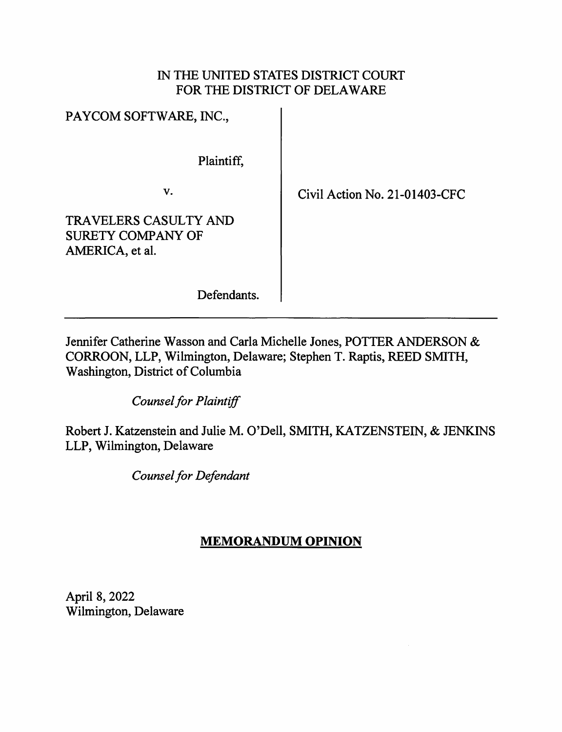# IN THE UNITED STATES DISTRICT COURT FOR THE DISTRICT OF DELAWARE

| PAYCOM SOFTWARE, INC.,                                                      |
|-----------------------------------------------------------------------------|
| Plaintiff.                                                                  |
| v.                                                                          |
| <b>TRAVELERS CASULTY AND</b><br><b>SURETY COMPANY OF</b><br>AMERICA, et al. |

Civil Action No. 21-01403-CFC

Defendants.

Jennifer Catherine Wasson and Carla Michelle Jones, POTTER ANDERSON & CORROON, LLP, Wilmington, Delaware; Stephen T. Raptis, REED SMITH, Washington, District of Columbia

*Counsel for Plaintiff* 

Robert J. Katzenstein and Julie M. O'Dell, SMITH, KATZENSTEIN, & JENKINS LLP, Wilmington, Delaware

*Counsel for Defendant* 

# **MEMORANDUM OPINION**

April 8, 2022 Wilmington, Delaware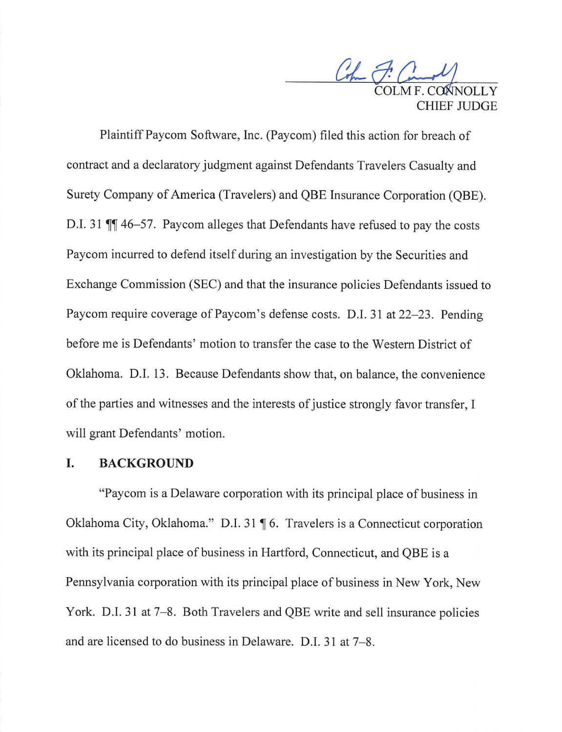Com F. Canal HIEF II IDGE

Plaintiff Paycom Software, Inc. (Paycom) filed this action for breach of contract and a declaratory judgment against Defendants Travelers Casualty and Surety Company of America (Travelers) and QBE Insurance Corporation (QBE). D.I. 31  $\P$  46-57. Paycom alleges that Defendants have refused to pay the costs Paycom incurred to defend itself during an investigation by the Securities and Exchange Commission (SEC) and that the insurance policies Defendants issued to Paycom require coverage of Paycom's defense costs. D.I. 31 at 22–23. Pending before me is Defendants' motion to transfer the case to the Western District of Oklahoma. D.I. 13. Because Defendants show that, on balance, the convenience of the parties and witnesses and the interests of justice strongly favor transfer, I will grant Defendants' motion.

### **I. BACKGROUND**

"Pay com is a Delaware corporation with its principal place of business in Oklahoma City, Oklahoma." D.I. 31 ¶ 6. Travelers is a Connecticut corporation with its principal place of business in Hartford, Connecticut, and QBE is a Pennsylvania corporation with its principal place of business in New York, New York. D.I. 31 at 7–8. Both Travelers and QBE write and sell insurance policies and are licensed to do business in Delaware. D.I. 31 at 7–8.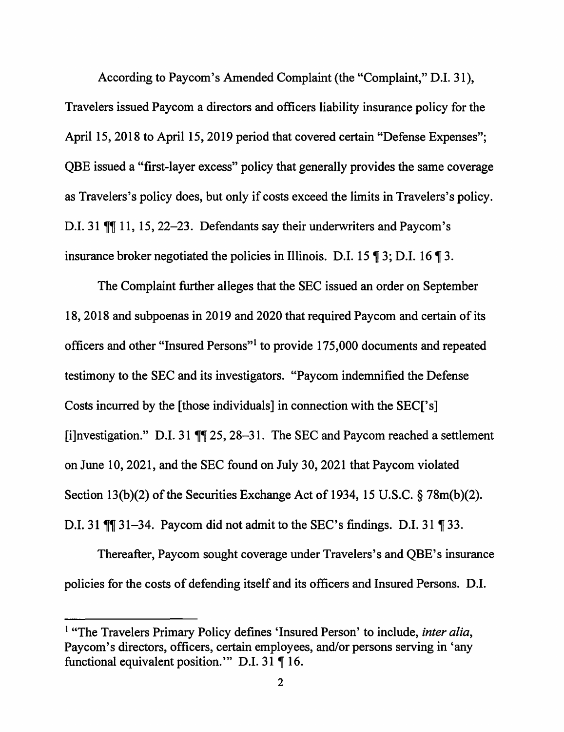According to Paycom's Amended Complaint (the "Complaint," D.I. 31), Travelers issued Paycom a directors and officers liability insurance policy for the April 15, 2018 to April 15, 2019 period that covered certain "Defense Expenses"; QBE issued a "first-layer excess" policy that generally provides the same coverage as Travelers's policy does, but only if costs exceed the limits in Travelers's policy. D.I. 31 TI 11, 15, 22-23. Defendants say their underwriters and Paycom's insurance broker negotiated the policies in Illinois. D.I. 15  $\P$  3; D.I. 16  $\P$  3.

The Complaint further alleges that the SEC issued an order on September 18, 2018 and subpoenas in 2019 and 2020 that required Pay com and certain of its officers and other "Insured Persons"<sup>1</sup>to provide 175,000 documents and repeated testimony to the SEC and its investigators. "Paycom indemnified the Defense Costs incurred by the [those individuals] in connection with the SEC['s] [i]nvestigation." D.I. 31  $\mathbb{II}$  25, 28–31. The SEC and Paycom reached a settlement on June 10, 2021, and the SEC found on July 30, 2021 that Paycom violated Section 13(b)(2) of the Securities Exchange Act of 1934, 15 U.S.C. § 78m(b)(2). D.I. 31  $\mathbb{M}$  31-34. Paycom did not admit to the SEC's findings. D.I. 31  $\mathbb{N}$  33.

Thereafter, Paycom sought coverage under Travelers's and QBE's insurance policies for the costs of defending itself and its officers and Insured Persons. D.I.

<sup>&</sup>lt;sup>1</sup> "The Travelers Primary Policy defines 'Insured Person' to include, *inter alia*, Paycom's directors, officers, certain employees, and/or persons serving in 'any functional equivalent position." D.I. 31  $\P$  16.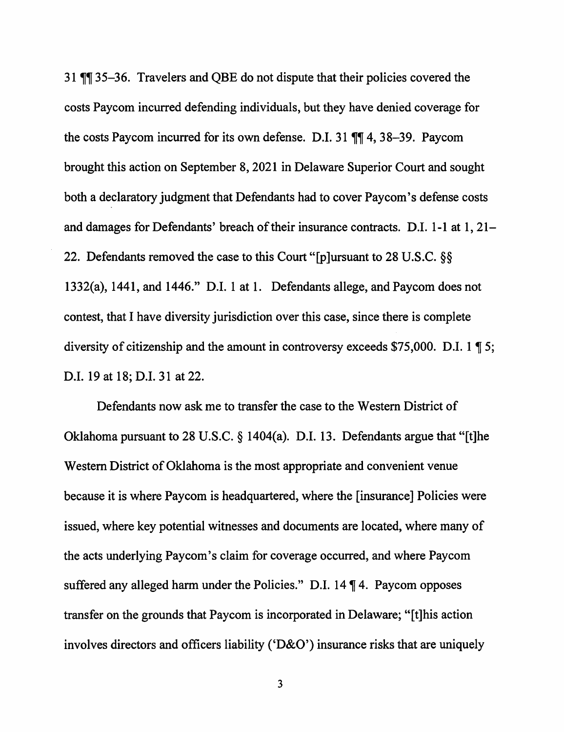31  $\P$  35-36. Travelers and QBE do not dispute that their policies covered the costs Paycom incurred defending individuals, but they have denied coverage for the costs Paycom incurred for its own defense. D.I. 31  $\P$  4, 38-39. Paycom brought this action on September 8, 2021 in Delaware Superior Court and sought both a declaratory judgment that Defendants had to cover Paycom's defense costs and damages for Defendants' breach of their insurance contracts. D.I. 1-1 at  $1, 21-$ 22. Defendants removed the case to this Court "[p]ursuant to 28 U.S.C. §§ 1332(a), 1441, and 1446." D.I. 1 at 1. Defendants allege, and Paycom does not contest, that I have diversity jurisdiction over this case, since there is complete diversity of citizenship and the amount in controversy exceeds \$75,000. D.I.  $1 \text{ } \text{T}$  5; D.I. 19 at 18; D.I. 31 at 22.

Defendants now ask me to transfer the case to the Western District of Oklahoma pursuant to 28 U.S.C. § 1404(a). D.I. 13. Defendants argue that "[t]he Western District of Oklahoma is the most appropriate and convenient venue because it is where Paycom is headquartered, where the [insurance] Policies were issued, where key potential witnesses and documents are located, where many of the acts underlying Paycom's claim for coverage occurred, and where Paycom suffered any alleged harm under the Policies." D.I.  $14 \text{ }\mathcal{P}$  4. Paycom opposes transfer on the grounds that Paycom is incorporated in Delaware; "[t]his action involves directors and officers liability ('D&O') insurance risks that are uniquely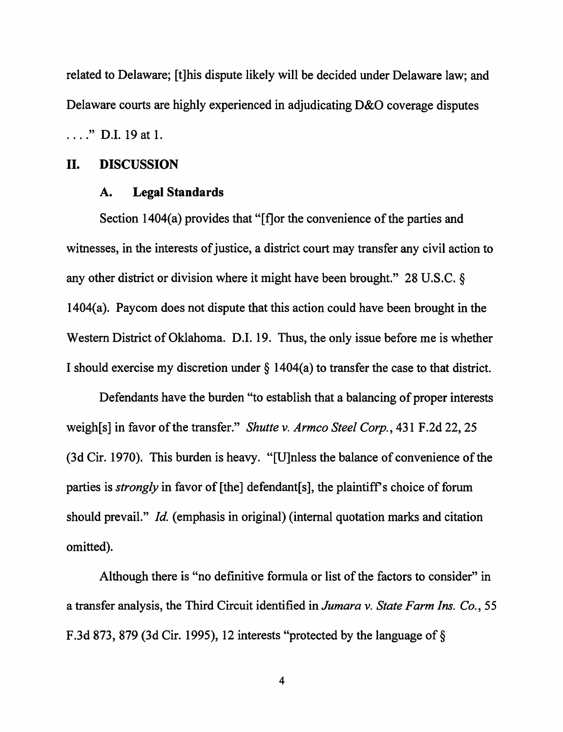related to Delaware; [t]his dispute likely will be decided under Delaware law; and Delaware courts are highly experienced in adjudicating D&O coverage disputes

...." D.I. 19 at 1.

### II. **DISCUSSION**

#### **A. Legal Standards**

Section 1404(a) provides that "[f]or the convenience of the parties and witnesses, in the interests of justice, a district court may transfer any civil action to any other district or division where it might have been brought." 28 U.S.C. § 1404(a). Paycom does not dispute that this action could have been brought in the Western District of Oklahoma. D.I. 19. Thus, the only issue before me is whether I should exercise my discretion under§ 1404(a) to transfer the case to that district.

Defendants have the burden "to establish that a balancing of proper interests weigh[s] in favor of the transfer." *Shutte v. Armco Steel Corp.,* 431 F.2d 22, 25 (3d Cir. 1970). This burden is heavy. "[U]nless the balance of convenience of the parties is *strongly* in favor of [the] defendant[s], the plaintiff's choice of forum should prevail." *Id.* (emphasis in original) (internal quotation marks and citation omitted).

Although there is "no definitive formula or list of the factors to consider" in a transfer analysis, the Third Circuit identified in *Jumara v. State Farm Ins. Co.,* 55 F.3d 873, 879 (3d Cir. 1995), 12 interests "protected by the language of§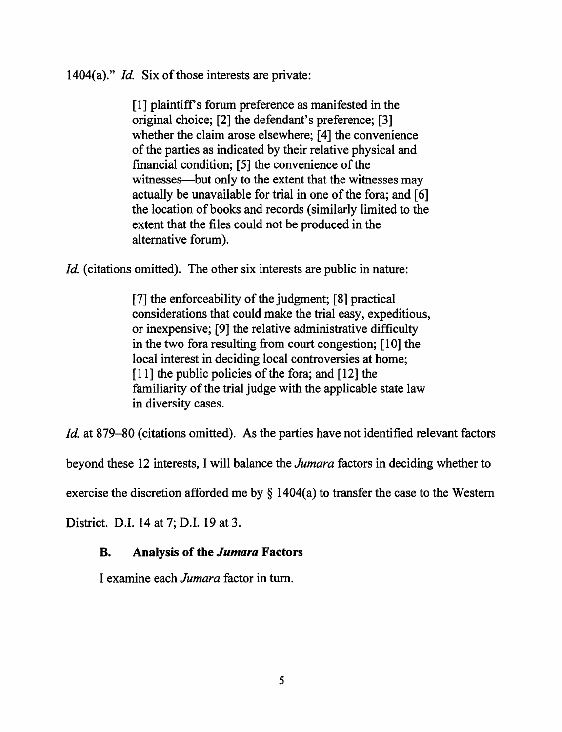1404(a)." *Id.* Six of those interests are private:

[1] plaintiff's forum preference as manifested in the original choice; [2] the defendant's preference; [3] whether the claim arose elsewhere; [4] the convenience of the parties as indicated by their relative physical and financial condition; [5] the convenience of the witnesses—but only to the extent that the witnesses may actually be unavailable for trial in one of the fora; and [6] the location of books and records ( similarly limited to the extent that the files could not be produced in the alternative forum).

*Id.* (citations omitted). The other six interests are public in nature:

[7] the enforceability of the judgment; [8] practical considerations that could make the trial easy, expeditious, or inexpensive; [9] the relative administrative difficulty in the two fora resulting from court congestion; [10] the local interest in deciding local controversies at home; [11] the public policies of the fora; and [12] the familiarity of the trial judge with the applicable state law in diversity cases.

*Id.* at 879–80 (citations omitted). As the parties have not identified relevant factors

beyond these 12 interests, I will balance the *Jumara* factors in deciding whether to

exercise the discretion afforded me by  $\S$  1404(a) to transfer the case to the Western

District. D.I. 14 at 7; D.I. 19 at 3.

# **B. Analysis of the** *Jumara* **Factors**

I examine each *Jumara* factor in tum.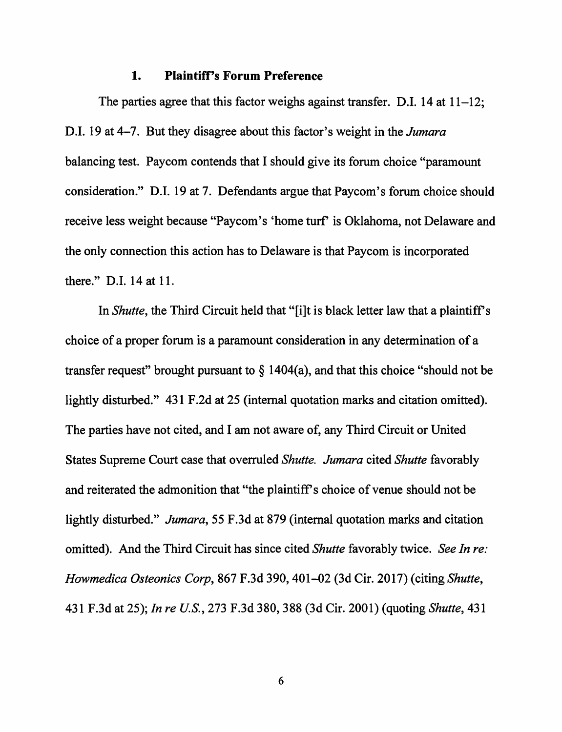### **1. Plaintiff's Forum Preference**

The parties agree that this factor weighs against transfer. D.I. 14 at  $11-12$ ; D.I. 19 at 4-7. But they disagree about this factor's weight in the *Jumara*  balancing test. Paycom contends that I should give its forum choice "paramount consideration." D.I. 19 at 7. Defendants argue that Paycom's forum choice should receive less weight because "Paycom's 'home turf' is Oklahoma, not Delaware and the only connection this action has to Delaware is that Paycom is incorporated there." D.I. 14 at 11.

In *Shutte,* the Third Circuit held that "[i]t is black letter law that a plaintiff's choice of a proper forum is a paramount consideration in any determination of a transfer request" brought pursuant to  $\S$  1404(a), and that this choice "should not be lightly disturbed." 431 F.2d at 25 (internal quotation marks and citation omitted). The parties have not cited, and I am not aware of, any Third Circuit or United States Supreme Court case that overruled *Shutte. Jumara* cited *Shutte* favorably and reiterated the admonition that "the plaintiff's choice of venue should not be lightly disturbed." *Jumara,* 55 F .3d at 879 (internal quotation marks and citation omitted). And the Third Circuit has since cited *Shutte* favorably twice. *See In re: Howmedica Osteonics Corp,* 867 F.3d 390, 401-02 (3d Cir. 2017) (citing *Shutte,*  431 F.3d at 25); *In re U.S., 213* F.3d 380,388 (3d Cir. 2001) (quoting *Shutte,* 431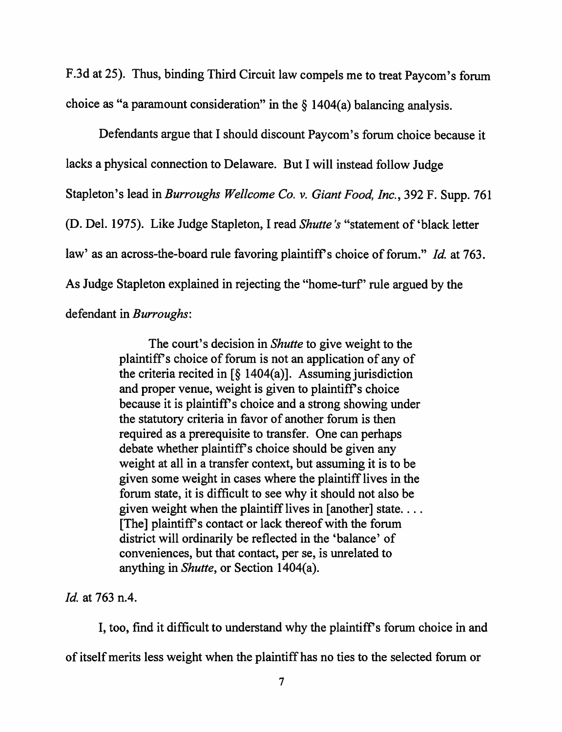F.3d at 25). Thus, binding Third Circuit law compels me to treat Paycom's forum choice as "a paramount consideration" in the  $\S$  1404(a) balancing analysis.

Defendants argue that I should discount Paycom's forum choice because it lacks a physical connection to Delaware. But I will instead follow Judge Stapleton's lead in *Burroughs Wei/come Co. v. Giant Food, Inc.,* 392 F. Supp. 761 (D. Del. 1975). Like Judge Stapleton, I read *Shutte 's* "statement of 'black letter law' as an across-the-board rule favoring plaintiff's choice of forum." *Id.* at 763. As Judge Stapleton explained in rejecting the "home-turf' rule argued by the defendant in *Burroughs:* 

> The court's decision in *Shutte* to give weight to the plaintiffs choice of forum is not an application of any of the criteria recited in [§ 1404(a)]. Assuming jurisdiction and proper venue, weight is given to plaintiff's choice because it is plaintiff's choice and a strong showing under the statutory criteria in favor of another forum is then required as a prerequisite to transfer. One can perhaps debate whether plaintiff's choice should be given any weight at all in a transfer context, but assuming it is to be given some weight in cases where the plaintiff lives in the forum state, it is difficult to see why it should not also be given weight when the plaintiff lives in [another] state... [The] plaintiffs contact or lack thereof with the forum district will ordinarily be reflected in the 'balance' of conveniences, but that contact, per se, is unrelated to anything in *Shutte,* or Section 1404(a).

*Id.* at 763 n.4.

I, too, find it difficult to understand why the plaintiff's forum choice in and of itself merits less weight when the plaintiff has no ties to the selected forum or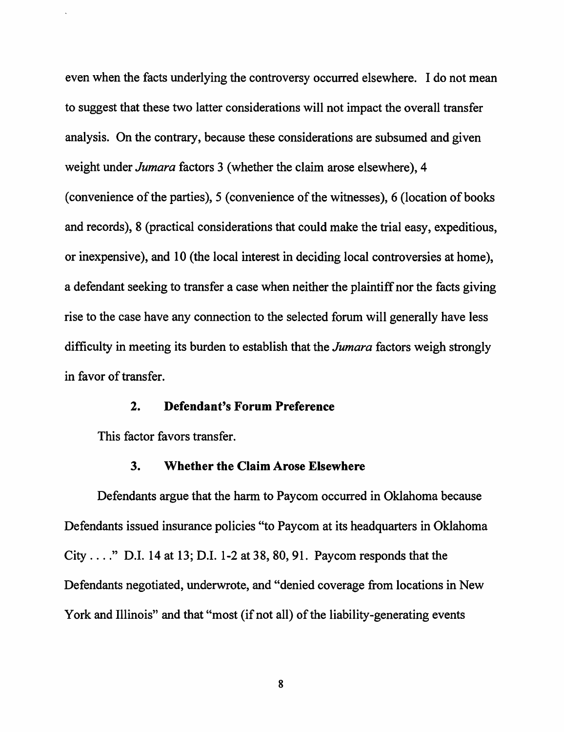even when the facts underlying the controversy occurred elsewhere. I do not mean to suggest that these two latter considerations will not impact the overall transfer analysis. On the contrary, because these considerations are subsumed and given weight under *Jumara* factors 3 (whether the claim arose elsewhere), 4 ( convenience of the parties), 5 ( convenience of the witnesses), 6 (location of books and records), 8 (practical considerations that could make the trial easy, expeditious, or inexpensive), and 10 (the local interest in deciding local controversies at home), a defendant seeking to transfer a case when neither the plaintiff nor the facts giving rise to the case have any connection to the selected forum will generally have less difficulty in meeting its burden to establish that the *Jumara* factors weigh strongly in favor of transfer.

### **2. Defendant's Forum Preference**

This factor favors transfer.

### **3. Whether the Claim Arose Elsewhere**

Defendants argue that the harm to Paycom occurred in Oklahoma because Defendants issued insurance policies "to Paycom at its headquarters in Oklahoma City ...." D.I. 14 at 13; D.I. 1-2 at 38, 80, 91. Paycom responds that the Defendants negotiated, underwrote, and "denied coverage from locations in New York and Illinois" and that "most (if not all) of the liability-generating events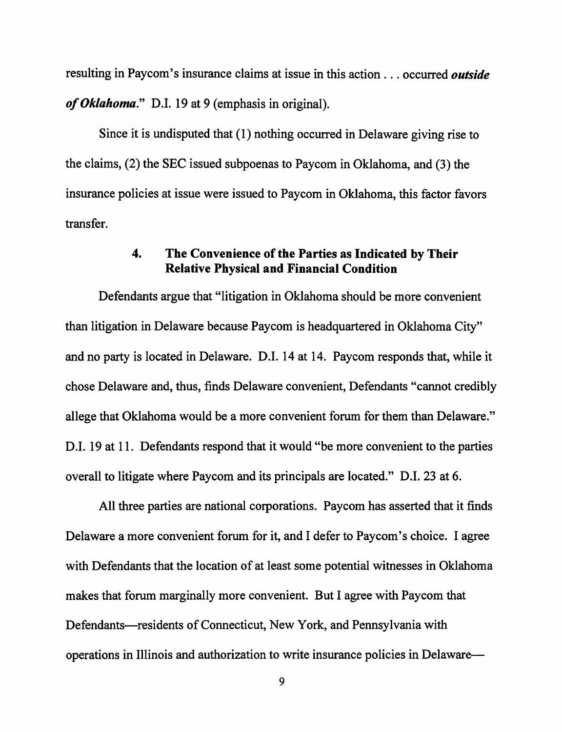resulting in Paycom's insurance claims at issue in this action . . . occurred *outside of Oklahoma."* D.I. 19 at 9 (emphasis in original).

Since it is undisputed that ( 1) nothing occurred in Delaware giving rise to the claims, (2) the SEC issued subpoenas to Paycom in Oklahoma, and (3) the insurance policies at issue were issued to Paycom in Oklahoma, this factor favors transfer.

### **4. The Convenience of the Parties as Indicated by Their Relative Physical and Financial Condition**

Defendants argue that "litigation in Oklahoma should be more convenient than litigation in Delaware because Paycom is headquartered in Oklahoma City" and no party is located in Delaware. D.I. 14 at 14. Paycom responds that, while it chose Delaware and, thus, finds Delaware convenient, Defendants "cannot credibly allege that Oklahoma would be a more convenient forum for them than Delaware." D.I. 19 at 11. Defendants respond that it would "be more convenient to the parties overall to litigate where Paycom and its principals are located." D.I. 23 at 6.

All three parties are national corporations. Paycom has asserted that it finds Delaware a more convenient forum for it, and I defer to Paycom's choice. I agree with Defendants that the location of at least some potential witnesses in Oklahoma makes that forum marginally more convenient. But I agree with Paycom that Defendants-residents of Connecticut, New York, and Pennsylvania with operations in Illinois and authorization to write insurance policies in Delaware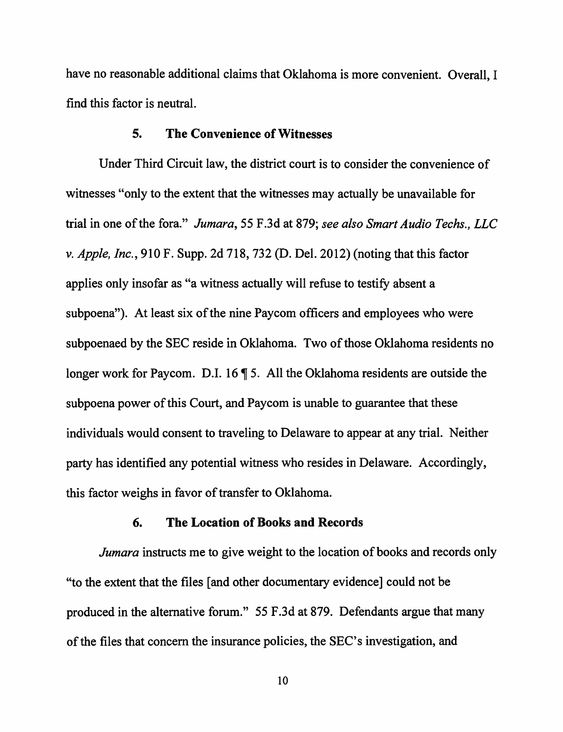have no reasonable additional claims that Oklahoma is more convenient. Overall, I find this factor is neutral.

### **5. The Convenience of Witnesses**

Under Third Circuit law, the district court is to consider the convenience of witnesses "only to the extent that the witnesses may actually be unavailable for trial in one of the fora." *Jumara,* 55 F.3d at 879; *see also Smart Audio Techs., LLC v. Apple, Inc.,* 910 F. Supp. 2d 718, 732 (D. Del. 2012) (noting that this factor applies only insofar as "a witness actually will refuse to testify absent a subpoena"). At least six of the nine Paycom officers and employees who were subpoenaed by the SEC reside in Oklahoma. Two of those Oklahoma residents no longer work for Paycom. D.I. 16  $\P$  5. All the Oklahoma residents are outside the subpoena power of this Court, and Paycom is unable to guarantee that these individuals would consent to traveling to Delaware to appear at any trial. Neither party has identified any potential witness who resides in Delaware. Accordingly, this factor weighs in favor of transfer to Oklahoma.

### **6. The Location of Books and Records**

*Jumara* instructs me to give weight to the location of books and records only "to the extent that the files [ and other documentary evidence] could not be produced in the alternative forum." 55 F.3d at 879. Defendants argue that many of the files that concern the insurance policies, the SEC' s investigation, and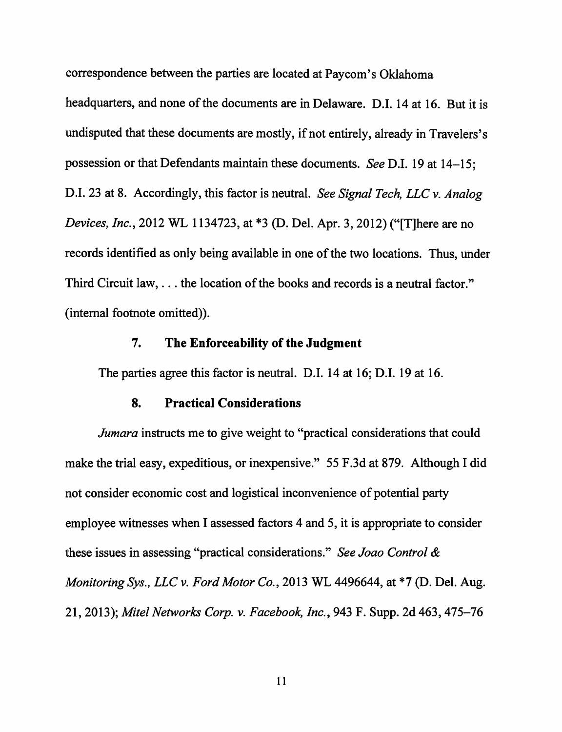correspondence between the parties are located at Paycom's Oklahoma

headquarters, and none of the documents are in Delaware. D.I. 14 at 16. But it is undisputed that these documents are mostly, if not entirely, already in Travelers's possession or that Defendants maintain these documents. *See* D.I. 19 at 14-15; D.I. 23 at 8. Accordingly, this factor is neutral. *See Signal Tech, LLC v. Analog Devices, Inc.,* 2012 WL 1134723, at \*3 (D. Del. Apr. 3, 2012) ("[T]here are no records identified as only being available in one of the two locations. Thus, under Third Circuit law, ... the location of the books and records is a neutral factor." (internal footnote omitted)).

### **7. The Enforceability of the Judgment**

The parties agree this factor is neutral. D.I. 14 at 16; D.I. 19 at 16.

### **8. Practical Considerations**

*Jumara* instructs me to give weight to "practical considerations that could make the trial easy, expeditious, or inexpensive." 55 F.3d at 879. Although I did not consider economic cost and logistical inconvenience of potential party employee witnesses when I assessed factors 4 and 5, it is appropriate to consider these issues in assessing "practical considerations." *See Joao Control* & *Monitoring Sys., LLC v. Ford Motor Co.,* 2013 WL 4496644, at \*7 (D. Del. Aug. 21, 2013); *Mite/ Networks Corp. v. Facebook, Inc.,* 943 F. Supp. 2d 463, 475-76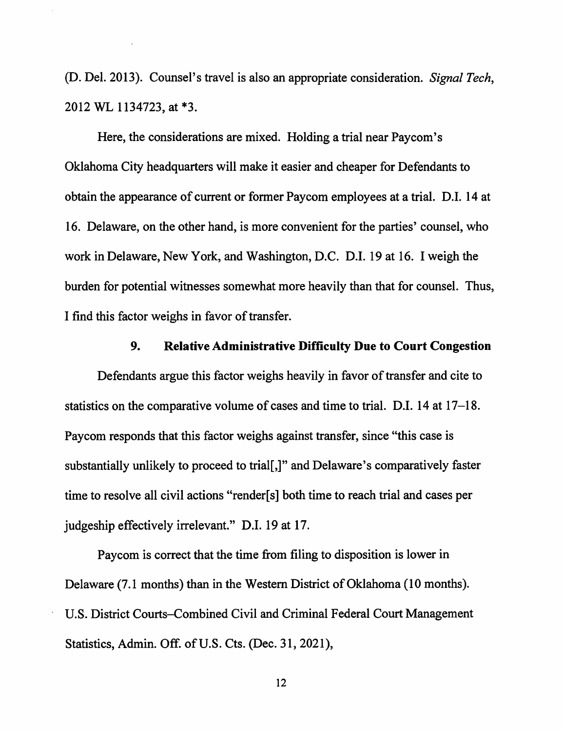(D. Del. 2013). Counsel's travel is also an appropriate consideration. *Signal Tech,*  2012 WL 1134723, at \*3.

Here, the considerations are mixed. Holding a trial near Paycom's Oklahoma City headquarters will make it easier and cheaper for Defendants to obtain the appearance of current or former Paycom employees at a trial. D.I. 14 at 16. Delaware, on the other hand, is more convenient for the parties' counsel, who work in Delaware, New York, and Washington, D.C. D.I. 19 at 16. I weigh the burden for potential witnesses somewhat more heavily than that for counsel. Thus, I find this factor weighs in favor of transfer.

### **9. Relative Administrative Difficulty Due to Court Congestion**

Defendants argue this factor weighs heavily in favor of transfer and cite to statistics on the comparative volume of cases and time to trial. D.I. 14 at 17-18. Paycom responds that this factor weighs against transfer, since "this case is substantially unlikely to proceed to trial[,]" and Delaware's comparatively faster time to resolve all civil actions "render[s] both time to reach trial and cases per judgeship effectively irrelevant." D.I. 19 at 17.

Paycom is correct that the time from filing to disposition is lower in Delaware (7.1 months) than in the Western District of Oklahoma (10 months). U.S. District Courts-Combined Civil and Criminal Federal Court Management Statistics, Admin. Off. of U.S. Cts. (Dec. 31, 2021),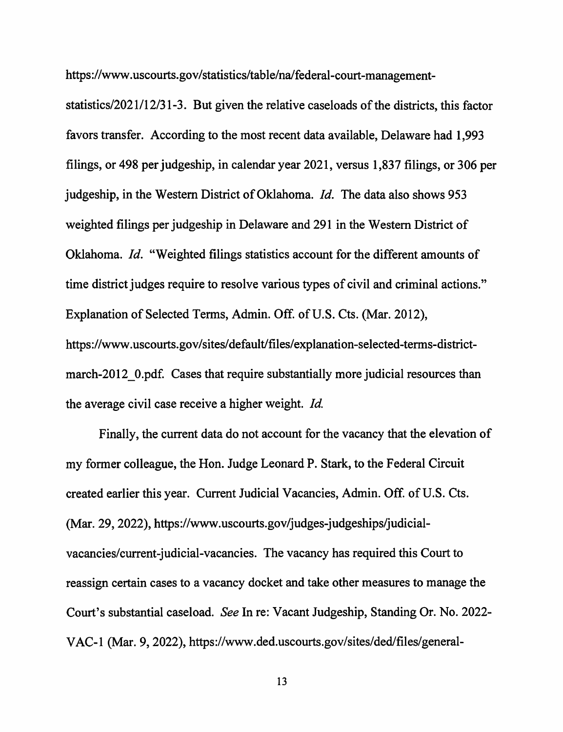https://www.uscourts.gov/statistics/table/na/federal-court-management-

statistics/2021/12/31-3. But given the relative caseloads of the districts, this factor favors transfer. According to the most recent data available, Delaware had 1,993 filings, or 498 per judgeship, in calendar year 2021, versus 1,837 filings, or 306 per judgeship, in the Western District of Oklahoma. *Id.* The data also shows 953 weighted filings per judgeship in Delaware and 291 in the Western District of Oklahoma. *Id.* "Weighted filings statistics account for the different amounts of time district judges require to resolve various types of civil and criminal actions." Explanation of Selected Terms, Admin. Off. of U.S. Cts. (Mar. 2012), https://www.uscourts.gov/sites/default/files/explanation-selected-terms-districtmarch-2012 0.pdf. Cases that require substantially more judicial resources than the average civil case receive a higher weight. *Id* 

Finally, the current data do not account for the vacancy that the elevation of my former colleague, the Hon. Judge Leonard P. Stark, to the Federal Circuit created earlier this year. Current Judicial Vacancies, Admin. Off. of U.S. Cts. (Mar. 29, 2022), https://www.uscourts.gov/judges-judgeships/judicialvacancies/current-judicial-vacancies. The vacancy has required this Court to reassign certain cases to a vacancy docket and take other measures to manage the Court's substantial caseload. *See* In re: Vacant Judgeship, Standing Or. No. 2022- V AC-I (Mar. 9, 2022), https://www.ded.uscourts.gov/sites/ded/files/general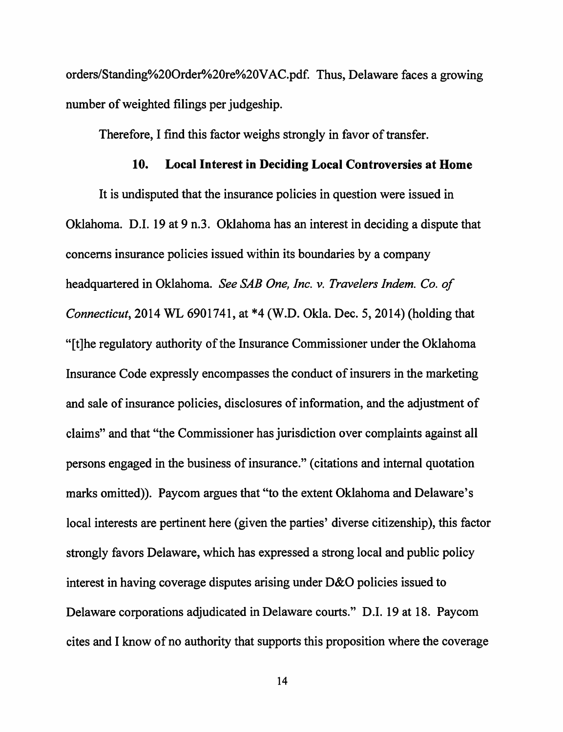orders/Standing%20Order%20re%20VAC.pdf. Thus, Delaware faces a growing number of weighted filings per judgeship.

Therefore, I find this factor weighs strongly in favor of transfer.

### **10. Local Interest in Deciding Local Controversies at Home**

It is undisputed that the insurance policies in question were issued in Oklahoma. D.I. 19 at 9 n.3. Oklahoma has an interest in deciding a dispute that concerns insurance policies issued within its boundaries by a company headquartered in Oklahoma. *See SAB One, Inc. v. Travelers Indem. Co. of Connecticut,* 2014 WL 6901741, at \*4 (W.D. Okla. Dec. 5, 2014) (holding that " [t] the regulatory authority of the Insurance Commissioner under the Oklahoma Insurance Code expressly encompasses the conduct of insurers in the marketing and sale of insurance policies, disclosures of information, and the adjustment of claims" and that "the Commissioner has jurisdiction over complaints against all persons engaged in the business of insurance." ( citations and internal quotation marks omitted)). Paycom argues that "to the extent Oklahoma and Delaware's local interests are pertinent here (given the parties' diverse citizenship), this factor strongly favors Delaware, which has expressed a strong local and public policy interest in having coverage disputes arising under D&O policies issued to Delaware corporations adjudicated in Delaware courts." D.I. 19 at 18. Paycom cites and I know of no authority that supports this proposition where the coverage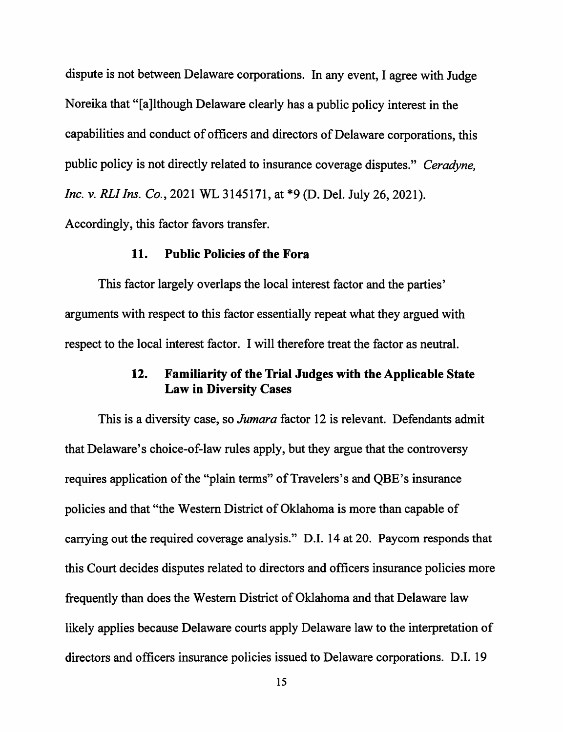dispute is not between Delaware corporations. In any event, I agree with Judge Noreika that "[a]lthough Delaware clearly has a public policy interest in the capabilities and conduct of officers and directors of Delaware corporations, this public policy is not directly related to insurance coverage disputes." *Ceradyne, Inc. v. RLI Ins. Co.,* 2021 WL 3145171, at \*9 (D. Del. July 26, 2021). Accordingly, this factor favors transfer.

### **11. Public Policies of the Fora**

This factor largely overlaps the local interest factor and the parties' arguments with respect to this factor essentially repeat what they argued with respect to the local interest factor. I will therefore treat the factor as neutral.

## **12. Familiarity of the Trial Judges with the Applicable State Law in Diversity Cases**

This is a diversity case, so *Jumara* factor 12 is relevant. Defendants admit that Delaware's choice-of-law rules apply, but they argue that the controversy requires application of the "plain terms" of Travelers's and QBE's insurance policies and that "the Western District of Oklahoma is more than capable of carrying out the required coverage analysis." D.I. 14 at 20. Paycom responds that this Court decides disputes related to directors and officers insurance policies more frequently than does the Western District of Oklahoma and that Delaware law likely applies because Delaware courts apply Delaware law to the interpretation of directors and officers insurance policies issued to Delaware corporations. D.I. 19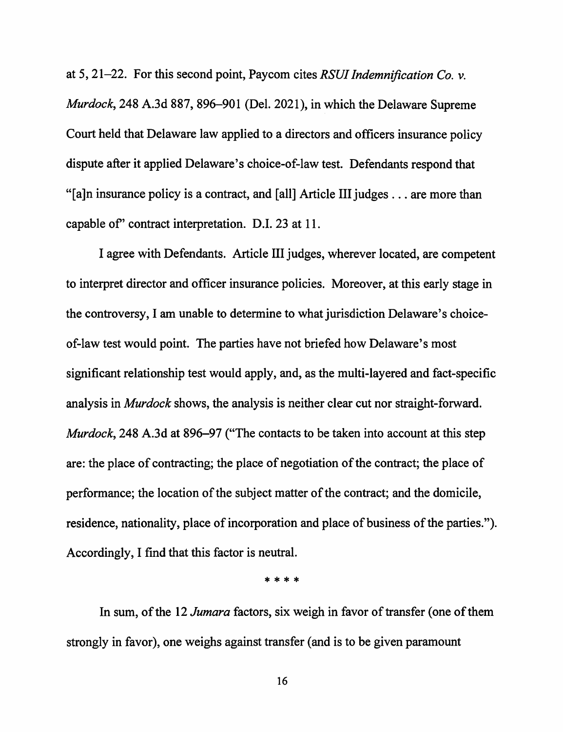at 5, 21-22. For this second point, Paycom cites *RSUI Indemnification Co. v. Murdock,* 248 A.3d 887, 896-901 (Del. 2021), in which the Delaware Supreme Court held that Delaware law applied to a directors and officers insurance policy dispute after it applied Delaware's choice-of-law test. Defendants respond that "[a]n insurance policy is a contract, and [all] Article III judges ... are more than capable of' contract interpretation. D.I. 23 at 11.

I agree with Defendants. Article III judges, wherever located, are competent to interpret director and officer insurance policies. Moreover, at this early stage in the controversy, I am unable to determine to what jurisdiction Delaware's choiceof-law test would point. The parties have not briefed how Delaware's most significant relationship test would apply, and, as the multi-layered and fact-specific analysis in *Murdock* shows, the analysis is neither clear cut nor straight-forward. *Murdock,* 248 A.3d at 896-97 {"The contacts to be taken into account at this step are: the place of contracting; the place of negotiation of the contract; the place of performance; the location of the subject matter of the contract; and the domicile, residence, nationality, place of incorporation and place of business of the parties."). Accordingly, I find that this factor is neutral.

\* \* \* \*

In sum, of the 12 *Jumara* factors, six weigh in favor of transfer ( one of them strongly in favor), one weighs against transfer ( and is to be given paramount